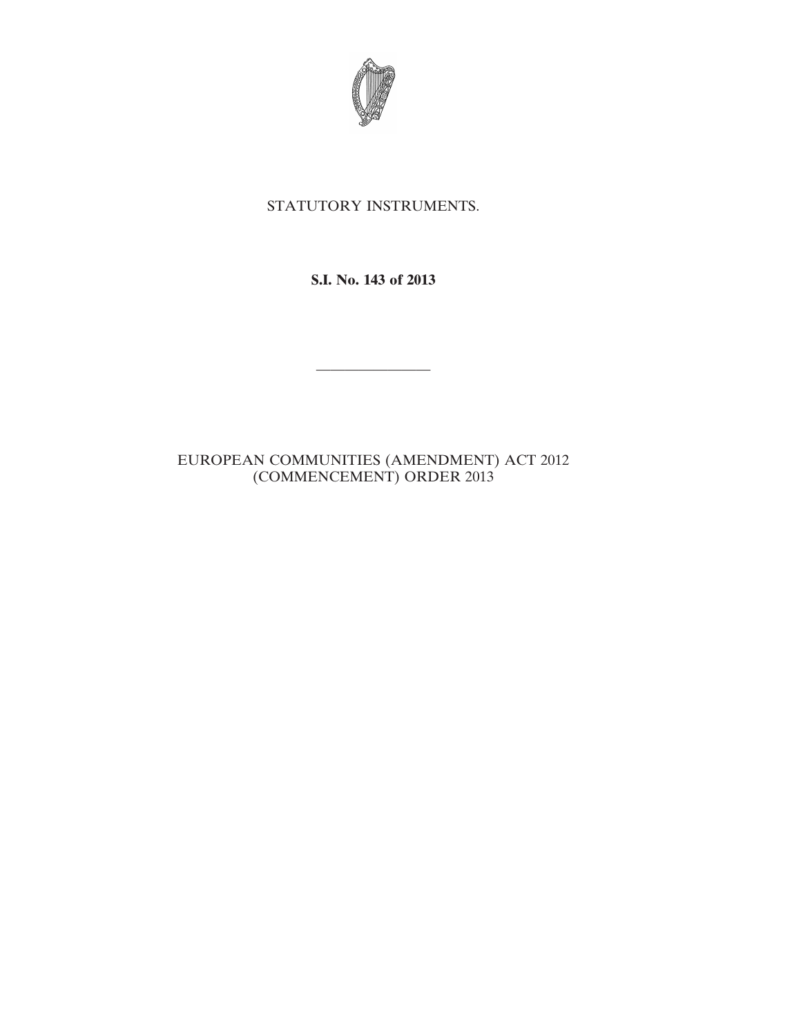

## STATUTORY INSTRUMENTS.

**S.I. No. 143 of 2013**

————————

## EUROPEAN COMMUNITIES (AMENDMENT) ACT 2012 (COMMENCEMENT) ORDER 2013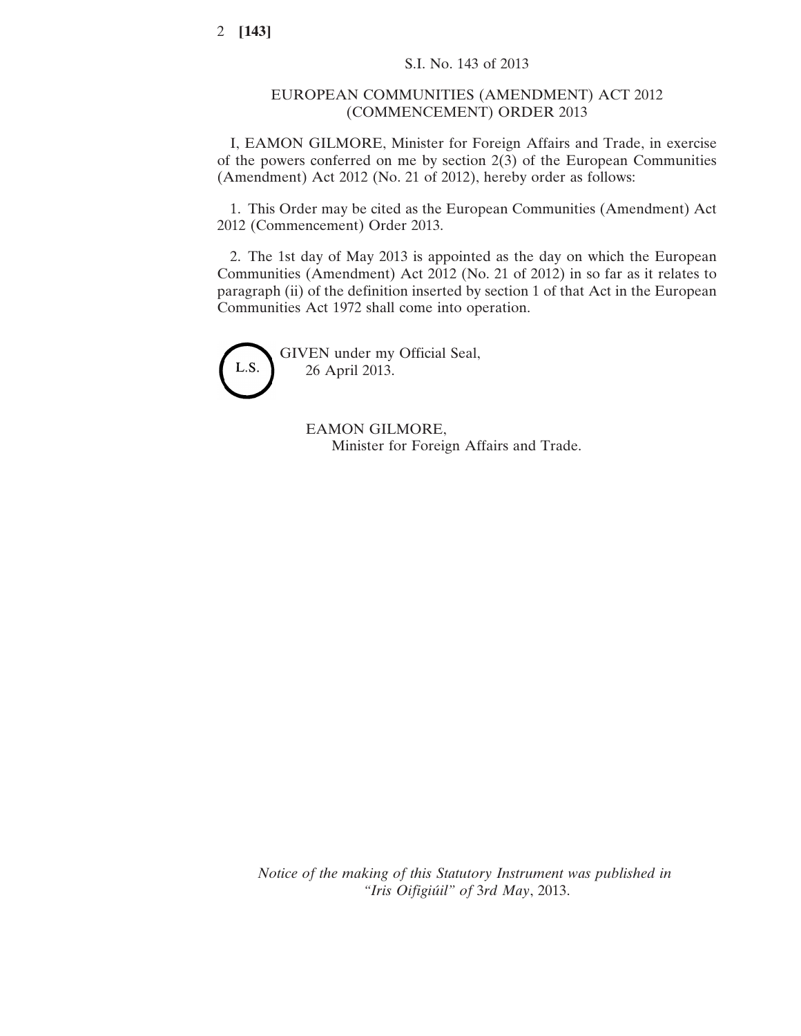## EUROPEAN COMMUNITIES (AMENDMENT) ACT 2012 (COMMENCEMENT) ORDER 2013

I, EAMON GILMORE, Minister for Foreign Affairs and Trade, in exercise of the powers conferred on me by section 2(3) of the European Communities (Amendment) Act 2012 (No. 21 of 2012), hereby order as follows:

1. This Order may be cited as the European Communities (Amendment) Act 2012 (Commencement) Order 2013.

2. The 1st day of May 2013 is appointed as the day on which the European Communities (Amendment) Act 2012 (No. 21 of 2012) in so far as it relates to paragraph (ii) of the definition inserted by section 1 of that Act in the European Communities Act 1972 shall come into operation.



GIVEN under my Official Seal, 26 April 2013.

> EAMON GILMORE, Minister for Foreign Affairs and Trade.

*Notice of the making of this Statutory Instrument was published in "Iris Oifigiúil" of* 3*rd May*, 2013.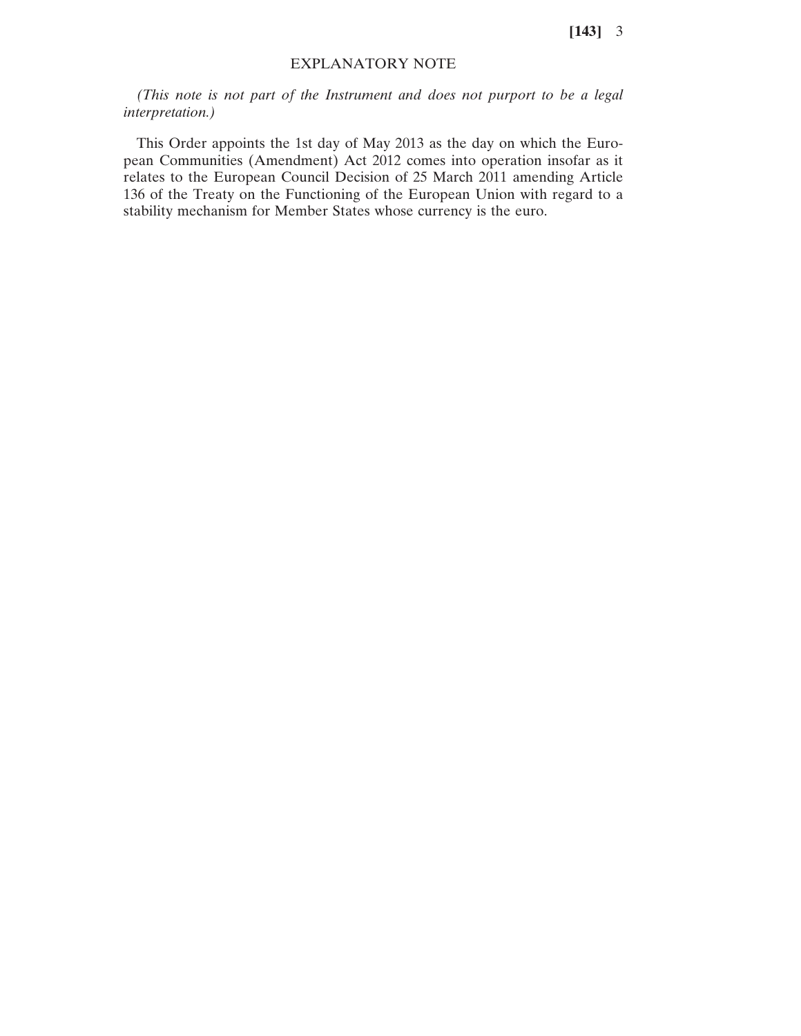**[143]** 3

## EXPLANATORY NOTE

*(This note is not part of the Instrument and does not purport to be a legal interpretation.)*

This Order appoints the 1st day of May 2013 as the day on which the European Communities (Amendment) Act 2012 comes into operation insofar as it relates to the European Council Decision of 25 March 2011 amending Article 136 of the Treaty on the Functioning of the European Union with regard to a stability mechanism for Member States whose currency is the euro.